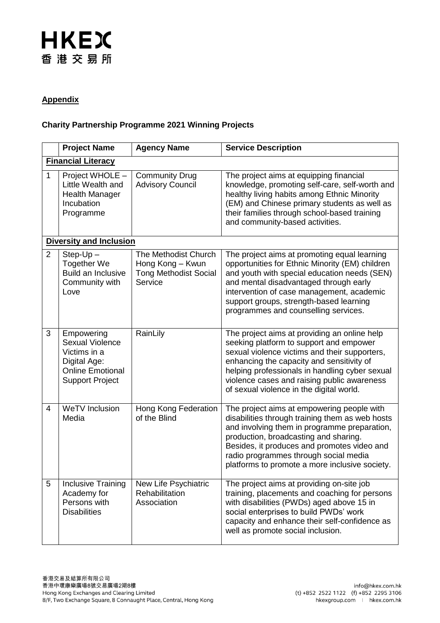## **HKEX** 香港交易所

#### **Appendix**

### **Charity Partnership Programme 2021 Winning Projects**

|                           | <b>Project Name</b>                                                                                                       | <b>Agency Name</b>                                                                  | <b>Service Description</b>                                                                                                                                                                                                                                                                                                         |  |  |
|---------------------------|---------------------------------------------------------------------------------------------------------------------------|-------------------------------------------------------------------------------------|------------------------------------------------------------------------------------------------------------------------------------------------------------------------------------------------------------------------------------------------------------------------------------------------------------------------------------|--|--|
| <b>Financial Literacy</b> |                                                                                                                           |                                                                                     |                                                                                                                                                                                                                                                                                                                                    |  |  |
| $\mathbf{1}$              | Project WHOLE -<br>Little Wealth and<br><b>Health Manager</b><br>Incubation<br>Programme                                  | <b>Community Drug</b><br><b>Advisory Council</b>                                    | The project aims at equipping financial<br>knowledge, promoting self-care, self-worth and<br>healthy living habits among Ethnic Minority<br>(EM) and Chinese primary students as well as<br>their families through school-based training<br>and community-based activities.                                                        |  |  |
|                           | <b>Diversity and Inclusion</b>                                                                                            |                                                                                     |                                                                                                                                                                                                                                                                                                                                    |  |  |
| $\overline{2}$            | $Step-Up -$<br>Together We<br><b>Build an Inclusive</b><br>Community with<br>Love                                         | The Methodist Church<br>Hong Kong - Kwun<br><b>Tong Methodist Social</b><br>Service | The project aims at promoting equal learning<br>opportunities for Ethnic Minority (EM) children<br>and youth with special education needs (SEN)<br>and mental disadvantaged through early<br>intervention of case management, academic<br>support groups, strength-based learning<br>programmes and counselling services.          |  |  |
| 3                         | Empowering<br><b>Sexual Violence</b><br>Victims in a<br>Digital Age:<br><b>Online Emotional</b><br><b>Support Project</b> | RainLily                                                                            | The project aims at providing an online help<br>seeking platform to support and empower<br>sexual violence victims and their supporters,<br>enhancing the capacity and sensitivity of<br>helping professionals in handling cyber sexual<br>violence cases and raising public awareness<br>of sexual violence in the digital world. |  |  |
| 4                         | WeTV Inclusion<br>Media                                                                                                   | Hong Kong Federation<br>of the Blind                                                | The project aims at empowering people with<br>disabilities through training them as web hosts<br>and involving them in programme preparation,<br>production, broadcasting and sharing.<br>Besides, it produces and promotes video and<br>radio programmes through social media<br>platforms to promote a more inclusive society.   |  |  |
| 5                         | <b>Inclusive Training</b><br>Academy for<br>Persons with<br><b>Disabilities</b>                                           | New Life Psychiatric<br>Rehabilitation<br>Association                               | The project aims at providing on-site job<br>training, placements and coaching for persons<br>with disabilities (PWDs) aged above 15 in<br>social enterprises to build PWDs' work<br>capacity and enhance their self-confidence as<br>well as promote social inclusion.                                                            |  |  |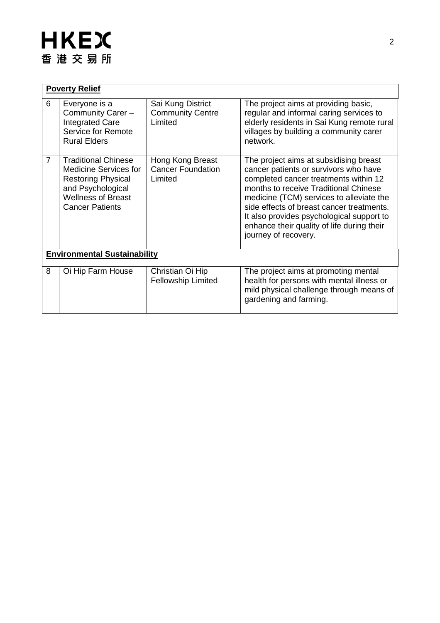# **HKEX** 香港交易所

| <b>Poverty Relief</b>               |                                                                                                                                                                     |                                                         |                                                                                                                                                                                                                                                                                                                                                                               |  |  |  |
|-------------------------------------|---------------------------------------------------------------------------------------------------------------------------------------------------------------------|---------------------------------------------------------|-------------------------------------------------------------------------------------------------------------------------------------------------------------------------------------------------------------------------------------------------------------------------------------------------------------------------------------------------------------------------------|--|--|--|
| 6                                   | Everyone is a<br>Community Carer -<br><b>Integrated Care</b><br>Service for Remote<br><b>Rural Elders</b>                                                           | Sai Kung District<br><b>Community Centre</b><br>Limited | The project aims at providing basic,<br>regular and informal caring services to<br>elderly residents in Sai Kung remote rural<br>villages by building a community carer<br>network.                                                                                                                                                                                           |  |  |  |
| $\overline{7}$                      | <b>Traditional Chinese</b><br><b>Medicine Services for</b><br><b>Restoring Physical</b><br>and Psychological<br><b>Wellness of Breast</b><br><b>Cancer Patients</b> | Hong Kong Breast<br><b>Cancer Foundation</b><br>Limited | The project aims at subsidising breast<br>cancer patients or survivors who have<br>completed cancer treatments within 12<br>months to receive Traditional Chinese<br>medicine (TCM) services to alleviate the<br>side effects of breast cancer treatments.<br>It also provides psychological support to<br>enhance their quality of life during their<br>journey of recovery. |  |  |  |
| <b>Environmental Sustainability</b> |                                                                                                                                                                     |                                                         |                                                                                                                                                                                                                                                                                                                                                                               |  |  |  |
| 8                                   | Oi Hip Farm House                                                                                                                                                   | Christian Oi Hip<br><b>Fellowship Limited</b>           | The project aims at promoting mental<br>health for persons with mental illness or<br>mild physical challenge through means of<br>gardening and farming.                                                                                                                                                                                                                       |  |  |  |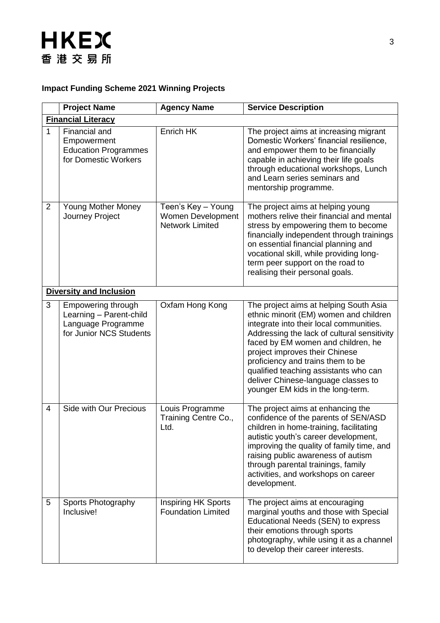### **HKEX** 香港交易所

### **Impact Funding Scheme 2021 Winning Projects**

|                           | <b>Project Name</b>                                                                            | <b>Agency Name</b>                                                | <b>Service Description</b>                                                                                                                                                                                                                                                                                                                                                                                   |  |  |  |
|---------------------------|------------------------------------------------------------------------------------------------|-------------------------------------------------------------------|--------------------------------------------------------------------------------------------------------------------------------------------------------------------------------------------------------------------------------------------------------------------------------------------------------------------------------------------------------------------------------------------------------------|--|--|--|
| <b>Financial Literacy</b> |                                                                                                |                                                                   |                                                                                                                                                                                                                                                                                                                                                                                                              |  |  |  |
| 1                         | Financial and<br>Empowerment<br><b>Education Programmes</b><br>for Domestic Workers            | Enrich HK                                                         | The project aims at increasing migrant<br>Domestic Workers' financial resilience,<br>and empower them to be financially<br>capable in achieving their life goals<br>through educational workshops, Lunch<br>and Learn series seminars and<br>mentorship programme.                                                                                                                                           |  |  |  |
| 2                         | <b>Young Mother Money</b><br>Journey Project                                                   | Teen's Key - Young<br>Women Development<br><b>Network Limited</b> | The project aims at helping young<br>mothers relive their financial and mental<br>stress by empowering them to become<br>financially independent through trainings<br>on essential financial planning and<br>vocational skill, while providing long-<br>term peer support on the road to<br>realising their personal goals.                                                                                  |  |  |  |
|                           | <b>Diversity and Inclusion</b>                                                                 |                                                                   |                                                                                                                                                                                                                                                                                                                                                                                                              |  |  |  |
| 3                         | Empowering through<br>Learning - Parent-child<br>Language Programme<br>for Junior NCS Students | Oxfam Hong Kong                                                   | The project aims at helping South Asia<br>ethnic minorit (EM) women and children<br>integrate into their local communities.<br>Addressing the lack of cultural sensitivity<br>faced by EM women and children, he<br>project improves their Chinese<br>proficiency and trains them to be<br>qualified teaching assistants who can<br>deliver Chinese-language classes to<br>younger EM kids in the long-term. |  |  |  |
| $\overline{4}$            | Side with Our Precious                                                                         | Louis Programme<br>Training Centre Co.,<br>Ltd.                   | The project aims at enhancing the<br>confidence of the parents of SEN/ASD<br>children in home-training, facilitating<br>autistic youth's career development,<br>improving the quality of family time, and<br>raising public awareness of autism<br>through parental trainings, family<br>activities, and workshops on career<br>development.                                                                 |  |  |  |
| 5                         | <b>Sports Photography</b><br>Inclusive!                                                        | <b>Inspiring HK Sports</b><br><b>Foundation Limited</b>           | The project aims at encouraging<br>marginal youths and those with Special<br>Educational Needs (SEN) to express<br>their emotions through sports<br>photography, while using it as a channel<br>to develop their career interests.                                                                                                                                                                           |  |  |  |